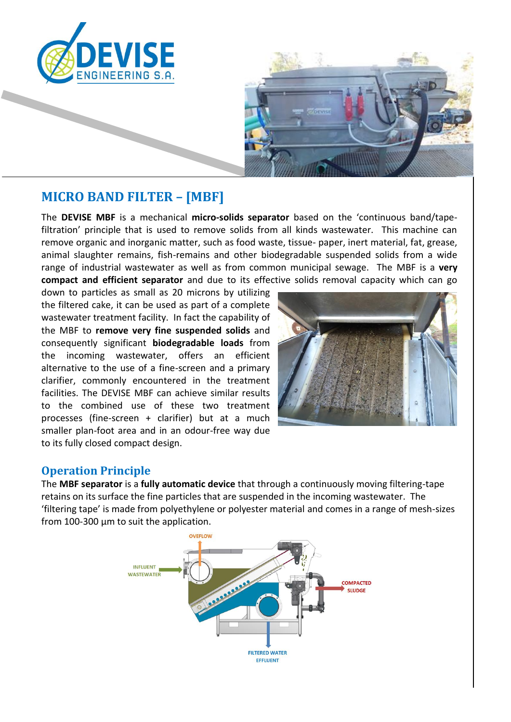



# **MICRO BAND FILTER – [MBF]**

The **DEVISE MBF** is a mechanical **micro-solids separator** based on the 'continuous band/tapefiltration' principle that is used to remove solids from all kinds wastewater. This machine can remove organic and inorganic matter, such as food waste, tissue- paper, inert material, fat, grease, animal slaughter remains, fish-remains and other biodegradable suspended solids from a wide range of industrial wastewater as well as from common municipal sewage. The MBF is a **very compact and efficient separator** and due to its effective solids removal capacity which can go

down to particles as small as 20 microns by utilizing the filtered cake, it can be used as part of a complete wastewater treatment facility. In fact the capability of the MBF to **remove very fine suspended solids** and consequently significant **biodegradable loads** from the incoming wastewater, offers an efficient alternative to the use of a fine-screen and a primary clarifier, commonly encountered in the treatment facilities. The DEVISE MBF can achieve similar results to the combined use of these two treatment processes (fine-screen + clarifier) but at a much smaller plan-foot area and in an odour-free way due to its fully closed compact design.



#### **Operation Principle**

The **MBF separator** is a **fully automatic device** that through a continuously moving filtering-tape retains on its surface the fine particles that are suspended in the incoming wastewater. The 'filtering tape' is made from polyethylene or polyester material and comes in a range of mesh-sizes from 100-300 μm to suit the application.